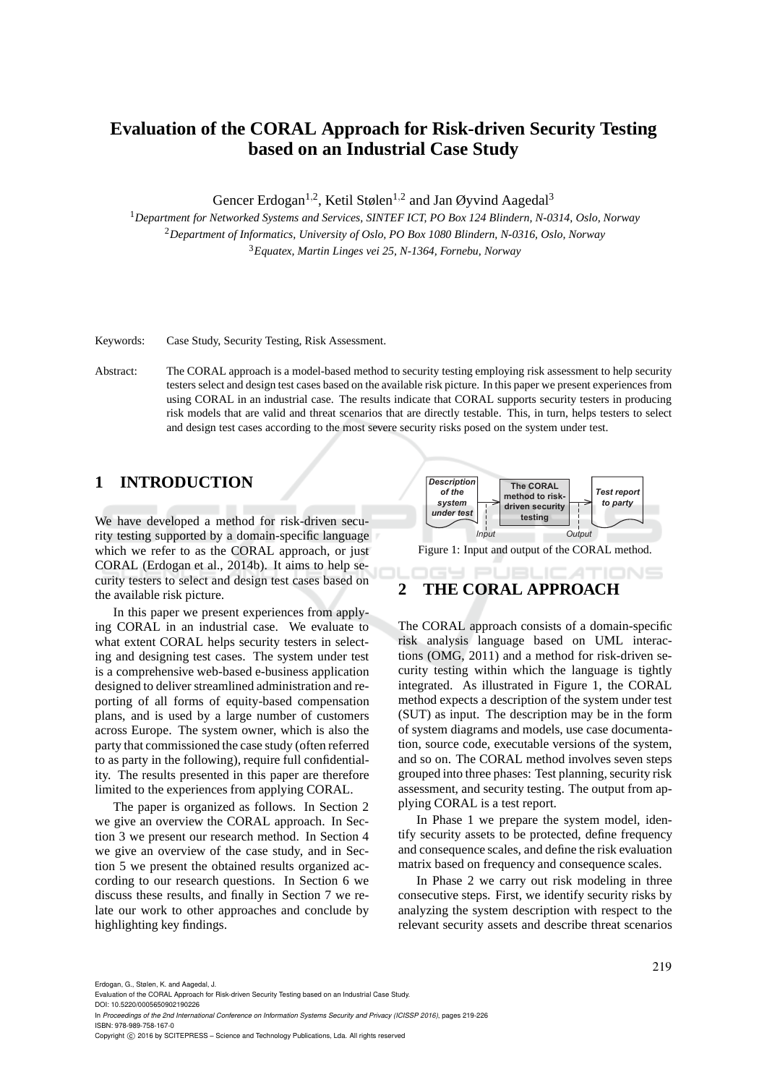# **Evaluation of the CORAL Approach for Risk-driven Security Testing based on an Industrial Case Study**

Gencer Erdogan<sup>1,2</sup>, Ketil Stølen<sup>1,2</sup> and Jan Øyvind Aagedal<sup>3</sup>

<sup>1</sup>*Department for Networked Systems and Services, SINTEF ICT, PO Box 124 Blindern, N-0314, Oslo, Norway* <sup>2</sup>*Department of Informatics, University of Oslo, PO Box 1080 Blindern, N-0316, Oslo, Norway* <sup>3</sup>*Equatex, Martin Linges vei 25, N-1364, Fornebu, Norway*

Keywords: Case Study, Security Testing, Risk Assessment.

Abstract: The CORAL approach is a model-based method to security testing employing risk assessment to help security testers select and design test cases based on the available risk picture. In this paper we present experiences from using CORAL in an industrial case. The results indicate that CORAL supports security testers in producing risk models that are valid and threat scenarios that are directly testable. This, in turn, helps testers to select and design test cases according to the most severe security risks posed on the system under test.

## **1 INTRODUCTION**

We have developed a method for risk-driven security testing supported by a domain-specific language which we refer to as the CORAL approach, or just CORAL (Erdogan et al., 2014b). It aims to help security testers to select and design test cases based on the available risk picture.

In this paper we present experiences from applying CORAL in an industrial case. We evaluate to what extent CORAL helps security testers in selecting and designing test cases. The system under test is a comprehensive web-based e-business application designed to deliver streamlined administration and reporting of all forms of equity-based compensation plans, and is used by a large number of customers across Europe. The system owner, which is also the party that commissioned the case study (often referred to as party in the following), require full confidentiality. The results presented in this paper are therefore limited to the experiences from applying CORAL.

The paper is organized as follows. In Section 2 we give an overview the CORAL approach. In Section 3 we present our research method. In Section 4 we give an overview of the case study, and in Section 5 we present the obtained results organized according to our research questions. In Section 6 we discuss these results, and finally in Section 7 we relate our work to other approaches and conclude by highlighting key findings.



Figure 1: Input and output of the CORAL method.

## **2 THE CORAL APPROACH**

The CORAL approach consists of a domain-specific risk analysis language based on UML interactions (OMG, 2011) and a method for risk-driven security testing within which the language is tightly integrated. As illustrated in Figure 1, the CORAL method expects a description of the system under test (SUT) as input. The description may be in the form of system diagrams and models, use case documentation, source code, executable versions of the system, and so on. The CORAL method involves seven steps grouped into three phases: Test planning, security risk assessment, and security testing. The output from applying CORAL is a test report.

In Phase 1 we prepare the system model, identify security assets to be protected, define frequency and consequence scales, and define the risk evaluation matrix based on frequency and consequence scales.

In Phase 2 we carry out risk modeling in three consecutive steps. First, we identify security risks by analyzing the system description with respect to the relevant security assets and describe threat scenarios

Erdogan, G., Stølen, K. and Aagedal, J.

- DOI: 10.5220/0005650902190226
- In *Proceedings of the 2nd International Conference on Information Systems Security and Privacy (ICISSP 2016)*, pages 219-226 ISBN: 978-989-758-167-0

Copyright © 2016 by SCITEPRESS - Science and Technology Publications, Lda. All rights reserved

Evaluation of the CORAL Approach for Risk-driven Security Testing based on an Industrial Case Study.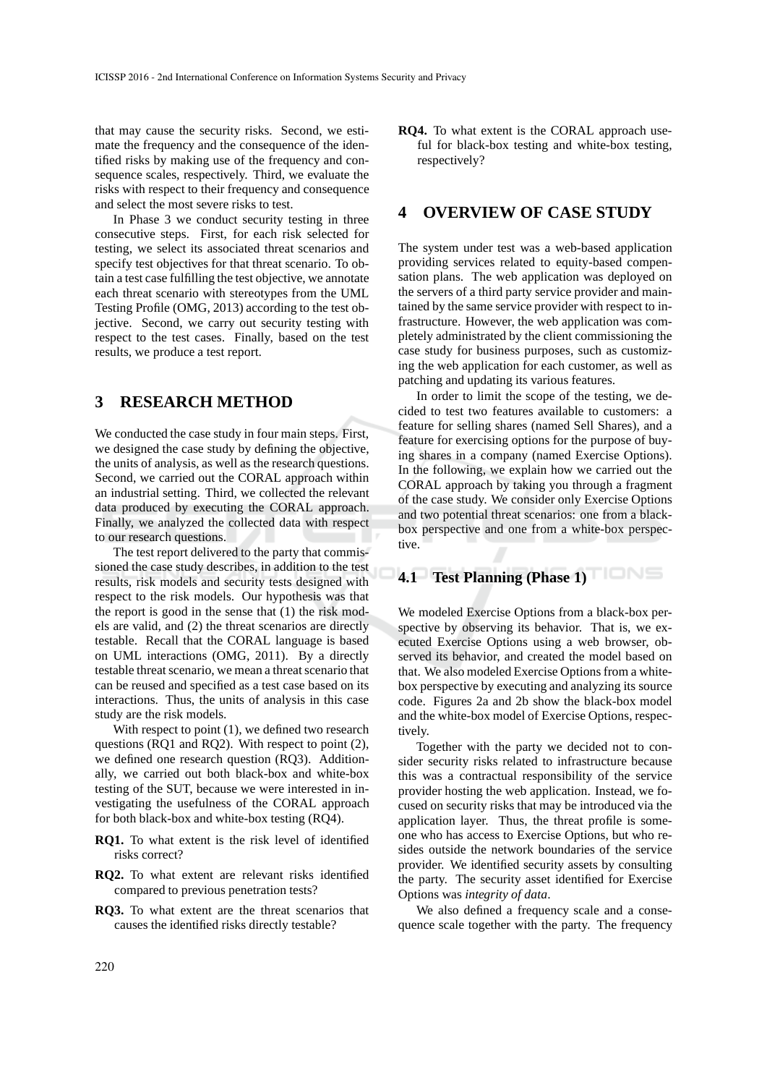that may cause the security risks. Second, we estimate the frequency and the consequence of the identified risks by making use of the frequency and consequence scales, respectively. Third, we evaluate the risks with respect to their frequency and consequence and select the most severe risks to test.

In Phase 3 we conduct security testing in three consecutive steps. First, for each risk selected for testing, we select its associated threat scenarios and specify test objectives for that threat scenario. To obtain a test case fulfilling the test objective, we annotate each threat scenario with stereotypes from the UML Testing Profile (OMG, 2013) according to the test objective. Second, we carry out security testing with respect to the test cases. Finally, based on the test results, we produce a test report.

## **3 RESEARCH METHOD**

We conducted the case study in four main steps. First, we designed the case study by defining the objective, the units of analysis, as well as the research questions. Second, we carried out the CORAL approach within an industrial setting. Third, we collected the relevant data produced by executing the CORAL approach. Finally, we analyzed the collected data with respect to our research questions.

The test report delivered to the party that commissioned the case study describes, in addition to the test results, risk models and security tests designed with respect to the risk models. Our hypothesis was that the report is good in the sense that (1) the risk models are valid, and (2) the threat scenarios are directly testable. Recall that the CORAL language is based on UML interactions (OMG, 2011). By a directly testable threat scenario, we mean a threat scenario that can be reused and specified as a test case based on its interactions. Thus, the units of analysis in this case study are the risk models.

With respect to point  $(1)$ , we defined two research questions (RQ1 and RQ2). With respect to point (2), we defined one research question (RQ3). Additionally, we carried out both black-box and white-box testing of the SUT, because we were interested in investigating the usefulness of the CORAL approach for both black-box and white-box testing (RQ4).

- **RQ1.** To what extent is the risk level of identified risks correct?
- **RQ2.** To what extent are relevant risks identified compared to previous penetration tests?
- **RQ3.** To what extent are the threat scenarios that causes the identified risks directly testable?

**RQ4.** To what extent is the CORAL approach useful for black-box testing and white-box testing, respectively?

## **4 OVERVIEW OF CASE STUDY**

The system under test was a web-based application providing services related to equity-based compensation plans. The web application was deployed on the servers of a third party service provider and maintained by the same service provider with respect to infrastructure. However, the web application was completely administrated by the client commissioning the case study for business purposes, such as customizing the web application for each customer, as well as patching and updating its various features.

In order to limit the scope of the testing, we decided to test two features available to customers: a feature for selling shares (named Sell Shares), and a feature for exercising options for the purpose of buying shares in a company (named Exercise Options). In the following, we explain how we carried out the CORAL approach by taking you through a fragment of the case study. We consider only Exercise Options and two potential threat scenarios: one from a blackbox perspective and one from a white-box perspective.

## **4.1 Test Planning (Phase 1)**

We modeled Exercise Options from a black-box perspective by observing its behavior. That is, we executed Exercise Options using a web browser, observed its behavior, and created the model based on that. We also modeled Exercise Options from a whitebox perspective by executing and analyzing its source code. Figures 2a and 2b show the black-box model and the white-box model of Exercise Options, respectively.

Together with the party we decided not to consider security risks related to infrastructure because this was a contractual responsibility of the service provider hosting the web application. Instead, we focused on security risks that may be introduced via the application layer. Thus, the threat profile is someone who has access to Exercise Options, but who resides outside the network boundaries of the service provider. We identified security assets by consulting the party. The security asset identified for Exercise Options was *integrity of data*.

We also defined a frequency scale and a consequence scale together with the party. The frequency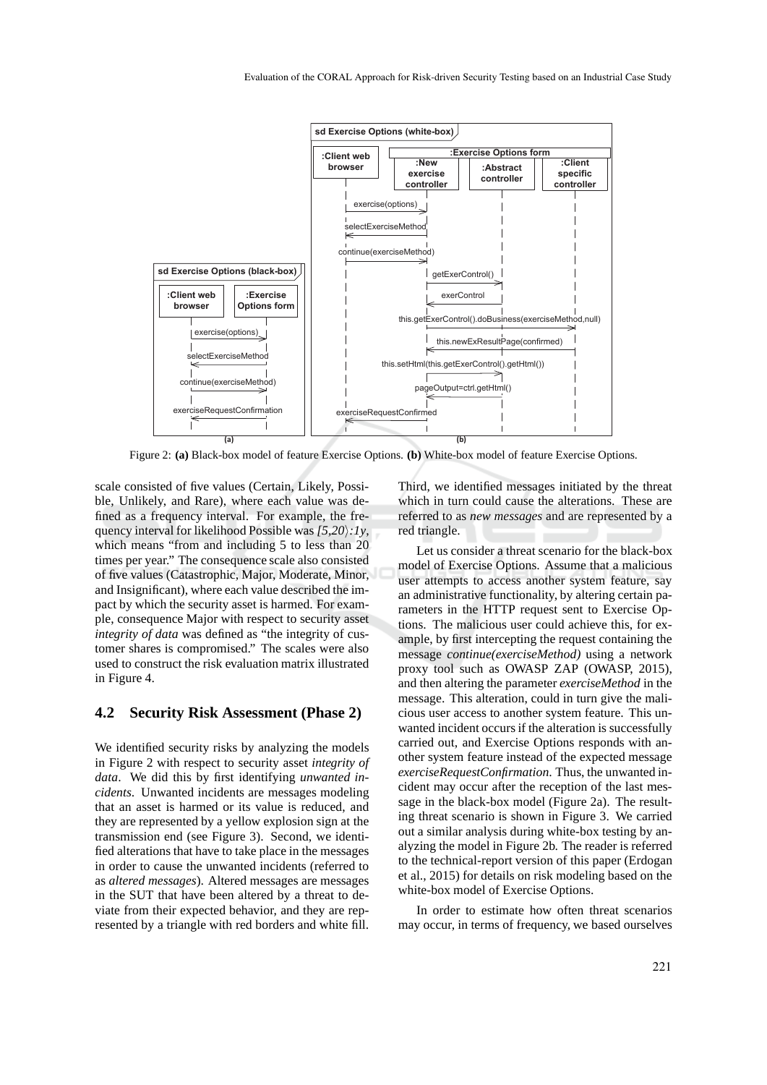

Figure 2: **(a)** Black-box model of feature Exercise Options. **(b)** White-box model of feature Exercise Options.

scale consisted of five values (Certain, Likely, Possible, Unlikely, and Rare), where each value was defined as a frequency interval. For example, the frequency interval for likelihood Possible was  $(5,20):1y$ , which means "from and including 5 to less than 20 times per year." The consequence scale also consisted of five values (Catastrophic, Major, Moderate, Minor, and Insignificant), where each value described the impact by which the security asset is harmed. For example, consequence Major with respect to security asset *integrity of data* was defined as "the integrity of customer shares is compromised." The scales were also used to construct the risk evaluation matrix illustrated in Figure 4.

#### **4.2 Security Risk Assessment (Phase 2)**

We identified security risks by analyzing the models in Figure 2 with respect to security asset *integrity of data*. We did this by first identifying *unwanted incidents*. Unwanted incidents are messages modeling that an asset is harmed or its value is reduced, and they are represented by a yellow explosion sign at the transmission end (see Figure 3). Second, we identified alterations that have to take place in the messages in order to cause the unwanted incidents (referred to as *altered messages*). Altered messages are messages in the SUT that have been altered by a threat to deviate from their expected behavior, and they are represented by a triangle with red borders and white fill.

Third, we identified messages initiated by the threat which in turn could cause the alterations. These are referred to as *new messages* and are represented by a red triangle.

Let us consider a threat scenario for the black-box model of Exercise Options. Assume that a malicious user attempts to access another system feature, say an administrative functionality, by altering certain parameters in the HTTP request sent to Exercise Options. The malicious user could achieve this, for example, by first intercepting the request containing the message *continue(exerciseMethod)* using a network proxy tool such as OWASP ZAP (OWASP, 2015), and then altering the parameter *exerciseMethod* in the message. This alteration, could in turn give the malicious user access to another system feature. This unwanted incident occurs if the alteration is successfully carried out, and Exercise Options responds with another system feature instead of the expected message *exerciseRequestConfirmation*. Thus, the unwanted incident may occur after the reception of the last message in the black-box model (Figure 2a). The resulting threat scenario is shown in Figure 3. We carried out a similar analysis during white-box testing by analyzing the model in Figure 2b. The reader is referred to the technical-report version of this paper (Erdogan et al., 2015) for details on risk modeling based on the white-box model of Exercise Options.

In order to estimate how often threat scenarios may occur, in terms of frequency, we based ourselves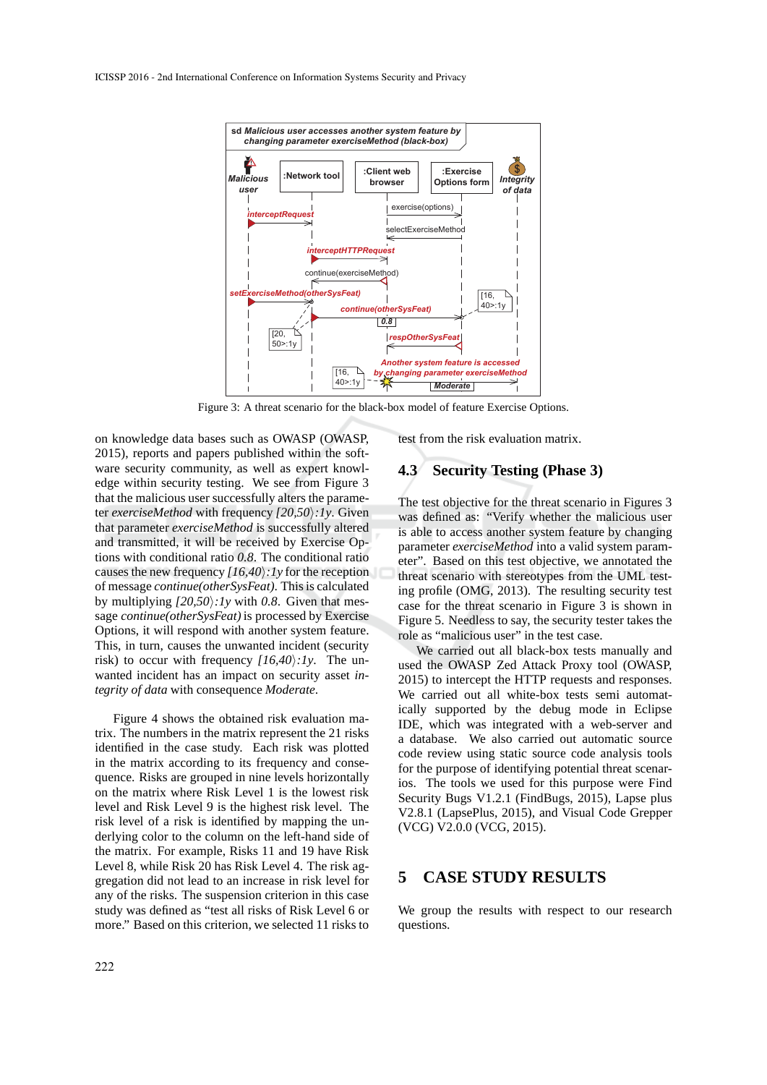

Figure 3: A threat scenario for the black-box model of feature Exercise Options.

on knowledge data bases such as OWASP (OWASP, 2015), reports and papers published within the software security community, as well as expert knowledge within security testing. We see from Figure 3 that the malicious user successfully alters the parameter *exerciseMethod* with frequency  $[20,50)$ : 1y. Given that parameter *exerciseMethod* is successfully altered and transmitted, it will be received by Exercise Options with conditional ratio *0.8*. The conditional ratio causes the new frequency  $(16,40):1$  *y* for the reception of message *continue(otherSysFeat)*. This is calculated by multiplying  $(20,50):1y$  with 0.8. Given that message *continue(otherSysFeat)* is processed by Exercise Options, it will respond with another system feature. This, in turn, causes the unwanted incident (security risk) to occur with frequency  $(16,40):1y$ . The unwanted incident has an impact on security asset *integrity of data* with consequence *Moderate*.

Figure 4 shows the obtained risk evaluation matrix. The numbers in the matrix represent the 21 risks identified in the case study. Each risk was plotted in the matrix according to its frequency and consequence. Risks are grouped in nine levels horizontally on the matrix where Risk Level 1 is the lowest risk level and Risk Level 9 is the highest risk level. The risk level of a risk is identified by mapping the underlying color to the column on the left-hand side of the matrix. For example, Risks 11 and 19 have Risk Level 8, while Risk 20 has Risk Level 4. The risk aggregation did not lead to an increase in risk level for any of the risks. The suspension criterion in this case study was defined as "test all risks of Risk Level 6 or more." Based on this criterion, we selected 11 risks to

test from the risk evaluation matrix.

### **4.3 Security Testing (Phase 3)**

The test objective for the threat scenario in Figures 3 was defined as: "Verify whether the malicious user is able to access another system feature by changing parameter *exerciseMethod* into a valid system parameter". Based on this test objective, we annotated the threat scenario with stereotypes from the UML testing profile (OMG, 2013). The resulting security test case for the threat scenario in Figure 3 is shown in Figure 5. Needless to say, the security tester takes the role as "malicious user" in the test case.

We carried out all black-box tests manually and used the OWASP Zed Attack Proxy tool (OWASP, 2015) to intercept the HTTP requests and responses. We carried out all white-box tests semi automatically supported by the debug mode in Eclipse IDE, which was integrated with a web-server and a database. We also carried out automatic source code review using static source code analysis tools for the purpose of identifying potential threat scenarios. The tools we used for this purpose were Find Security Bugs V1.2.1 (FindBugs, 2015), Lapse plus V2.8.1 (LapsePlus, 2015), and Visual Code Grepper (VCG) V2.0.0 (VCG, 2015).

## **5 CASE STUDY RESULTS**

We group the results with respect to our research questions.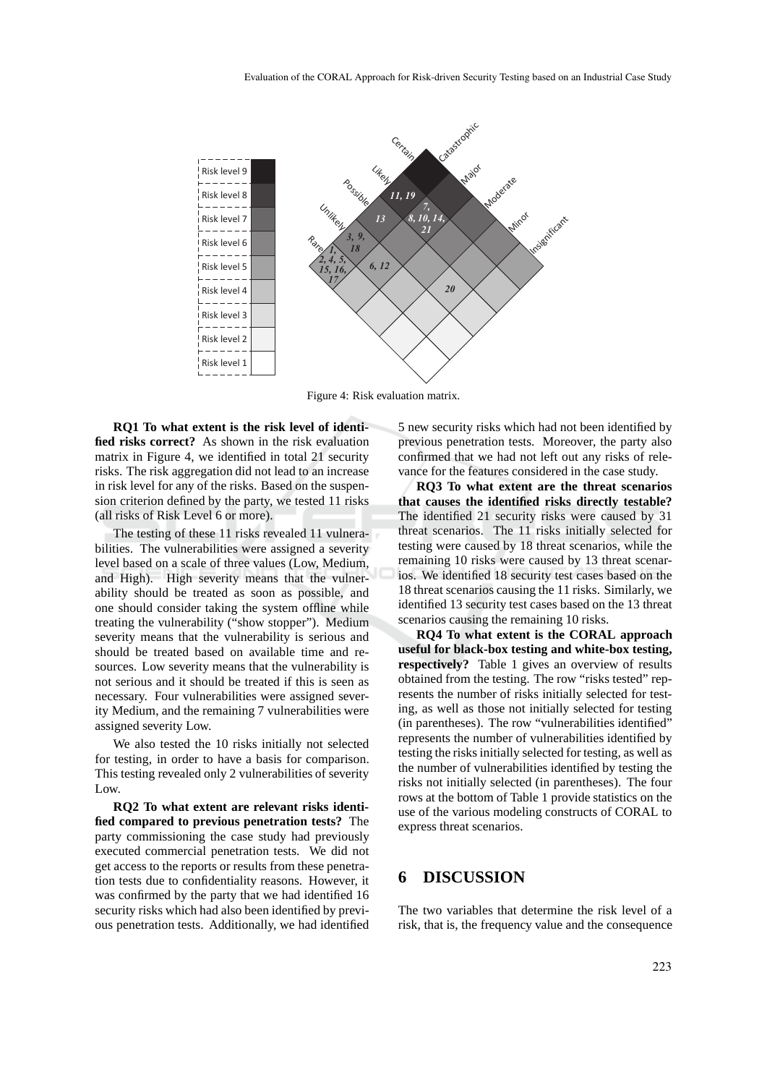

Figure 4: Risk evaluation matrix.

**RQ1 To what extent is the risk level of identified risks correct?** As shown in the risk evaluation matrix in Figure 4, we identified in total 21 security risks. The risk aggregation did not lead to an increase in risk level for any of the risks. Based on the suspension criterion defined by the party, we tested 11 risks (all risks of Risk Level 6 or more).

The testing of these 11 risks revealed 11 vulnerabilities. The vulnerabilities were assigned a severity level based on a scale of three values (Low, Medium, and High). High severity means that the vulnerability should be treated as soon as possible, and one should consider taking the system offline while treating the vulnerability ("show stopper"). Medium severity means that the vulnerability is serious and should be treated based on available time and resources. Low severity means that the vulnerability is not serious and it should be treated if this is seen as necessary. Four vulnerabilities were assigned severity Medium, and the remaining 7 vulnerabilities were assigned severity Low.

We also tested the 10 risks initially not selected for testing, in order to have a basis for comparison. This testing revealed only 2 vulnerabilities of severity Low.

**RQ2 To what extent are relevant risks identified compared to previous penetration tests?** The party commissioning the case study had previously executed commercial penetration tests. We did not get access to the reports or results from these penetration tests due to confidentiality reasons. However, it was confirmed by the party that we had identified 16 security risks which had also been identified by previous penetration tests. Additionally, we had identified 5 new security risks which had not been identified by previous penetration tests. Moreover, the party also confirmed that we had not left out any risks of relevance for the features considered in the case study.

**RQ3 To what extent are the threat scenarios that causes the identified risks directly testable?** The identified 21 security risks were caused by 31 threat scenarios. The 11 risks initially selected for testing were caused by 18 threat scenarios, while the remaining 10 risks were caused by 13 threat scenarios. We identified 18 security test cases based on the 18 threat scenarios causing the 11 risks. Similarly, we identified 13 security test cases based on the 13 threat scenarios causing the remaining 10 risks.

**RQ4 To what extent is the CORAL approach useful for black-box testing and white-box testing, respectively?** Table 1 gives an overview of results obtained from the testing. The row "risks tested" represents the number of risks initially selected for testing, as well as those not initially selected for testing (in parentheses). The row "vulnerabilities identified" represents the number of vulnerabilities identified by testing the risks initially selected for testing, as well as the number of vulnerabilities identified by testing the risks not initially selected (in parentheses). The four rows at the bottom of Table 1 provide statistics on the use of the various modeling constructs of CORAL to express threat scenarios.

## **6 DISCUSSION**

The two variables that determine the risk level of a risk, that is, the frequency value and the consequence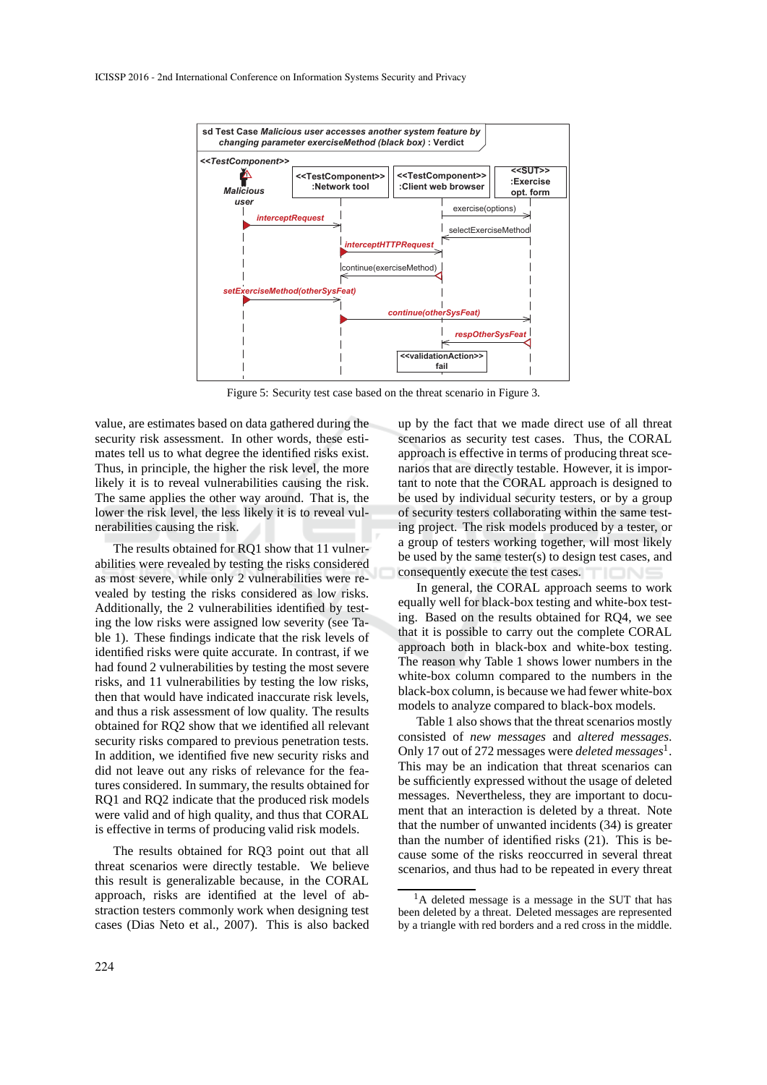

Figure 5: Security test case based on the threat scenario in Figure 3.

value, are estimates based on data gathered during the security risk assessment. In other words, these estimates tell us to what degree the identified risks exist. Thus, in principle, the higher the risk level, the more likely it is to reveal vulnerabilities causing the risk. The same applies the other way around. That is, the lower the risk level, the less likely it is to reveal vulnerabilities causing the risk.

The results obtained for RQ1 show that 11 vulnerabilities were revealed by testing the risks considered as most severe, while only 2 vulnerabilities were revealed by testing the risks considered as low risks. Additionally, the 2 vulnerabilities identified by testing the low risks were assigned low severity (see Table 1). These findings indicate that the risk levels of identified risks were quite accurate. In contrast, if we had found 2 vulnerabilities by testing the most severe risks, and 11 vulnerabilities by testing the low risks, then that would have indicated inaccurate risk levels, and thus a risk assessment of low quality. The results obtained for RQ2 show that we identified all relevant security risks compared to previous penetration tests. In addition, we identified five new security risks and did not leave out any risks of relevance for the features considered. In summary, the results obtained for RQ1 and RQ2 indicate that the produced risk models were valid and of high quality, and thus that CORAL is effective in terms of producing valid risk models.

The results obtained for RQ3 point out that all threat scenarios were directly testable. We believe this result is generalizable because, in the CORAL approach, risks are identified at the level of abstraction testers commonly work when designing test cases (Dias Neto et al., 2007). This is also backed

up by the fact that we made direct use of all threat scenarios as security test cases. Thus, the CORAL approach is effective in terms of producing threat scenarios that are directly testable. However, it is important to note that the CORAL approach is designed to be used by individual security testers, or by a group of security testers collaborating within the same testing project. The risk models produced by a tester, or a group of testers working together, will most likely be used by the same tester(s) to design test cases, and consequently execute the test cases.

In general, the CORAL approach seems to work equally well for black-box testing and white-box testing. Based on the results obtained for RQ4, we see that it is possible to carry out the complete CORAL approach both in black-box and white-box testing. The reason why Table 1 shows lower numbers in the white-box column compared to the numbers in the black-box column, is because we had fewer white-box models to analyze compared to black-box models.

Table 1 also shows that the threat scenarios mostly consisted of *new messages* and *altered messages*. Only 17 out of 272 messages were *deleted messages*<sup>1</sup> . This may be an indication that threat scenarios can be sufficiently expressed without the usage of deleted messages. Nevertheless, they are important to document that an interaction is deleted by a threat. Note that the number of unwanted incidents (34) is greater than the number of identified risks (21). This is because some of the risks reoccurred in several threat scenarios, and thus had to be repeated in every threat

<sup>&</sup>lt;sup>1</sup>A deleted message is a message in the SUT that has been deleted by a threat. Deleted messages are represented by a triangle with red borders and a red cross in the middle.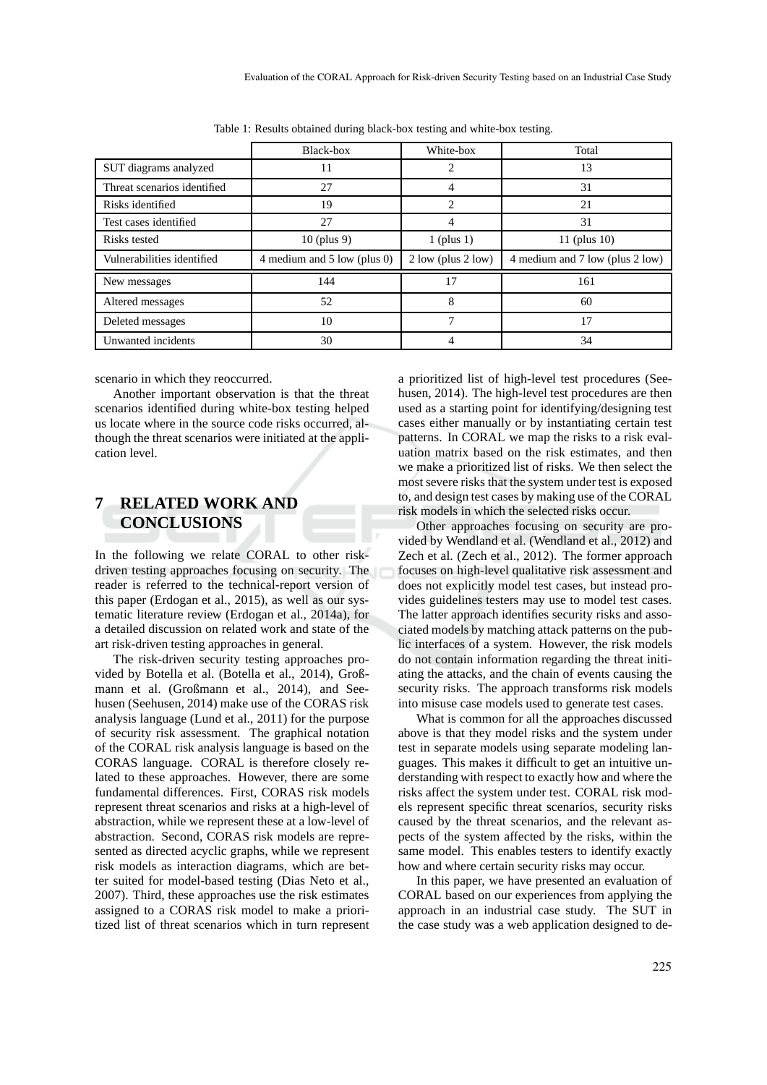|                             | Black-box                   | White-box              | Total                           |
|-----------------------------|-----------------------------|------------------------|---------------------------------|
| SUT diagrams analyzed       | 11                          | 2                      | 13                              |
| Threat scenarios identified | 27                          | 4                      | 31                              |
| Risks identified            | 19                          | 2                      | 21                              |
| Test cases identified       | 27                          | 4                      | 31                              |
| Risks tested                | $10$ (plus 9)               | $1$ (plus 1)           | 11 (plus $10$ )                 |
| Vulnerabilities identified  | 4 medium and 5 low (plus 0) | $2$ low (plus $2$ low) | 4 medium and 7 low (plus 2 low) |
| New messages                | 144                         | 17                     | 161                             |
| Altered messages            | 52                          | 8                      | 60                              |
| Deleted messages            | 10                          | 7                      | 17                              |
| Unwanted incidents          | 30                          | 4                      | 34                              |

Table 1: Results obtained during black-box testing and white-box testing.

scenario in which they reoccurred.

Another important observation is that the threat scenarios identified during white-box testing helped us locate where in the source code risks occurred, although the threat scenarios were initiated at the application level.

## **7 RELATED WORK AND CONCLUSIONS**

In the following we relate CORAL to other riskdriven testing approaches focusing on security. The reader is referred to the technical-report version of this paper (Erdogan et al., 2015), as well as our systematic literature review (Erdogan et al., 2014a), for a detailed discussion on related work and state of the art risk-driven testing approaches in general.

The risk-driven security testing approaches provided by Botella et al. (Botella et al., 2014), Großmann et al. (Großmann et al., 2014), and Seehusen (Seehusen, 2014) make use of the CORAS risk analysis language (Lund et al., 2011) for the purpose of security risk assessment. The graphical notation of the CORAL risk analysis language is based on the CORAS language. CORAL is therefore closely related to these approaches. However, there are some fundamental differences. First, CORAS risk models represent threat scenarios and risks at a high-level of abstraction, while we represent these at a low-level of abstraction. Second, CORAS risk models are represented as directed acyclic graphs, while we represent risk models as interaction diagrams, which are better suited for model-based testing (Dias Neto et al., 2007). Third, these approaches use the risk estimates assigned to a CORAS risk model to make a prioritized list of threat scenarios which in turn represent

a prioritized list of high-level test procedures (Seehusen, 2014). The high-level test procedures are then used as a starting point for identifying/designing test cases either manually or by instantiating certain test patterns. In CORAL we map the risks to a risk evaluation matrix based on the risk estimates, and then we make a prioritized list of risks. We then select the most severe risks that the system under test is exposed to, and design test cases by making use of the CORAL risk models in which the selected risks occur.

Other approaches focusing on security are provided by Wendland et al. (Wendland et al., 2012) and Zech et al. (Zech et al., 2012). The former approach focuses on high-level qualitative risk assessment and does not explicitly model test cases, but instead provides guidelines testers may use to model test cases. The latter approach identifies security risks and associated models by matching attack patterns on the public interfaces of a system. However, the risk models do not contain information regarding the threat initiating the attacks, and the chain of events causing the security risks. The approach transforms risk models into misuse case models used to generate test cases.

What is common for all the approaches discussed above is that they model risks and the system under test in separate models using separate modeling languages. This makes it difficult to get an intuitive understanding with respect to exactly how and where the risks affect the system under test. CORAL risk models represent specific threat scenarios, security risks caused by the threat scenarios, and the relevant aspects of the system affected by the risks, within the same model. This enables testers to identify exactly how and where certain security risks may occur.

In this paper, we have presented an evaluation of CORAL based on our experiences from applying the approach in an industrial case study. The SUT in the case study was a web application designed to de